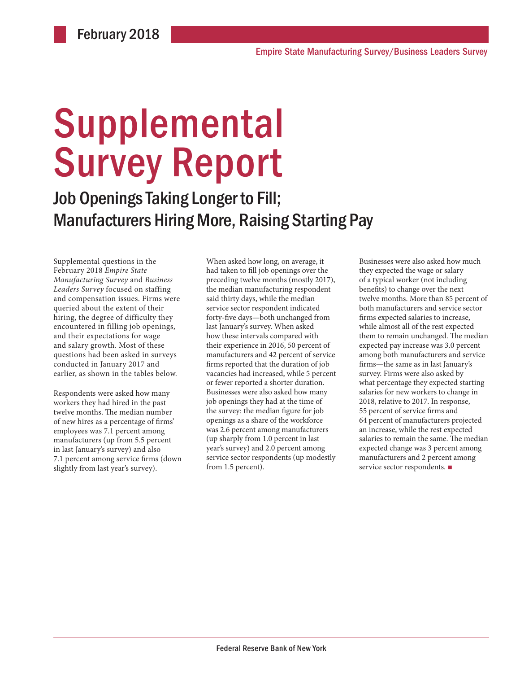# **Supplemental** Survey Report

# Job Openings Taking Longer to Fill; Manufacturers Hiring More, Raising Starting Pay

Supplemental questions in the February 2018 *Empire State Manufacturing Survey* and *Business Leaders Survey* focused on staffing and compensation issues. Firms were queried about the extent of their hiring, the degree of difficulty they encountered in filling job openings, and their expectations for wage and salary growth. Most of these questions had been asked in surveys conducted in January 2017 and earlier, as shown in the tables below.

Respondents were asked how many workers they had hired in the past twelve months. The median number of new hires as a percentage of firms' employees was 7.1 percent among manufacturers (up from 5.5 percent in last January's survey) and also 7.1 percent among service firms (down slightly from last year's survey).

When asked how long, on average, it had taken to fill job openings over the preceding twelve months (mostly 2017), the median manufacturing respondent said thirty days, while the median service sector respondent indicated forty-five days—both unchanged from last January's survey. When asked how these intervals compared with their experience in 2016, 50 percent of manufacturers and 42 percent of service firms reported that the duration of job vacancies had increased, while 5 percent or fewer reported a shorter duration. Businesses were also asked how many job openings they had at the time of the survey: the median figure for job openings as a share of the workforce was 2.6 percent among manufacturers (up sharply from 1.0 percent in last year's survey) and 2.0 percent among service sector respondents (up modestly from 1.5 percent).

Businesses were also asked how much they expected the wage or salary of a typical worker (not including benefits) to change over the next twelve months. More than 85 percent of both manufacturers and service sector firms expected salaries to increase, while almost all of the rest expected them to remain unchanged. The median expected pay increase was 3.0 percent among both manufacturers and service firms—the same as in last January's survey. Firms were also asked by what percentage they expected starting salaries for new workers to change in 2018, relative to 2017. In response, 55 percent of service firms and 64 percent of manufacturers projected an increase, while the rest expected salaries to remain the same. The median expected change was 3 percent among manufacturers and 2 percent among service sector respondents. ■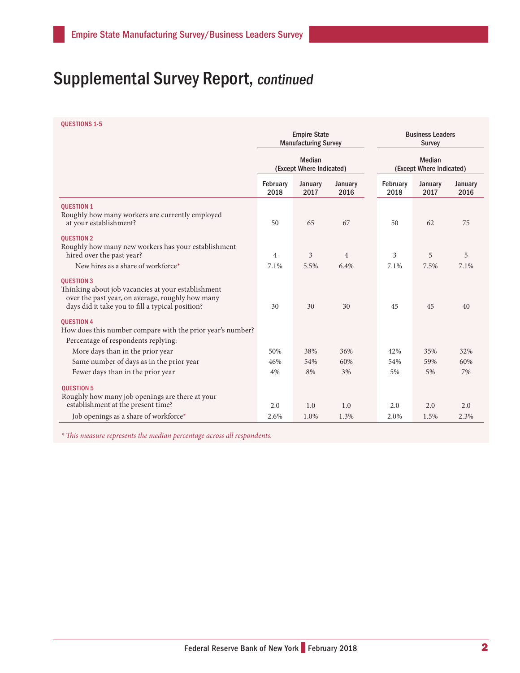# Supplemental Survey Report, continued

### QUESTIONS 1-5

|                                                                                                                                                                                 | <b>Empire State</b><br><b>Manufacturing Survey</b><br><b>Median</b><br>(Except Where Indicated) |                 |                        | <b>Business Leaders</b><br><b>Survey</b><br><b>Median</b><br>(Except Where Indicated) |                 |                 |  |
|---------------------------------------------------------------------------------------------------------------------------------------------------------------------------------|-------------------------------------------------------------------------------------------------|-----------------|------------------------|---------------------------------------------------------------------------------------|-----------------|-----------------|--|
|                                                                                                                                                                                 |                                                                                                 |                 |                        |                                                                                       |                 |                 |  |
|                                                                                                                                                                                 | February<br>2018                                                                                | January<br>2017 | January<br>2016        | February<br>2018                                                                      | January<br>2017 | January<br>2016 |  |
| <b>OUESTION 1</b><br>Roughly how many workers are currently employed<br>at your establishment?                                                                                  | 50                                                                                              | 65              | 67                     | 50                                                                                    | 62              | 75              |  |
| <b>QUESTION 2</b><br>Roughly how many new workers has your establishment<br>hired over the past year?<br>New hires as a share of workforce*                                     | $\overline{4}$<br>7.1%                                                                          | 3<br>5.5%       | $\overline{4}$<br>6.4% | 3<br>7.1%                                                                             | 5<br>7.5%       | 5<br>7.1%       |  |
| <b>QUESTION 3</b><br>Thinking about job vacancies at your establishment<br>over the past year, on average, roughly how many<br>days did it take you to fill a typical position? | 30                                                                                              | 30              | 30                     | 45                                                                                    | 45              | 40              |  |
| <b>OUESTION 4</b><br>How does this number compare with the prior year's number?<br>Percentage of respondents replying:                                                          |                                                                                                 |                 |                        |                                                                                       |                 |                 |  |
| More days than in the prior year                                                                                                                                                | 50%                                                                                             | 38%             | 36%                    | 42%                                                                                   | 35%             | 32%             |  |
| Same number of days as in the prior year                                                                                                                                        | 46%                                                                                             | 54%             | 60%                    | 54%                                                                                   | 59%             | 60%             |  |
| Fewer days than in the prior year                                                                                                                                               | 4%                                                                                              | 8%              | 3%                     | 5%                                                                                    | 5%              | 7%              |  |
| <b>QUESTION 5</b><br>Roughly how many job openings are there at your<br>establishment at the present time?                                                                      | 2.0                                                                                             | 1.0             | 1.0                    | 2.0                                                                                   | 2.0             | 2.0             |  |
| Job openings as a share of workforce*                                                                                                                                           | 2.6%                                                                                            | 1.0%            | 1.3%                   | 2.0%                                                                                  | 1.5%            | 2.3%            |  |

*\* This measure represents the median percentage across all respondents.*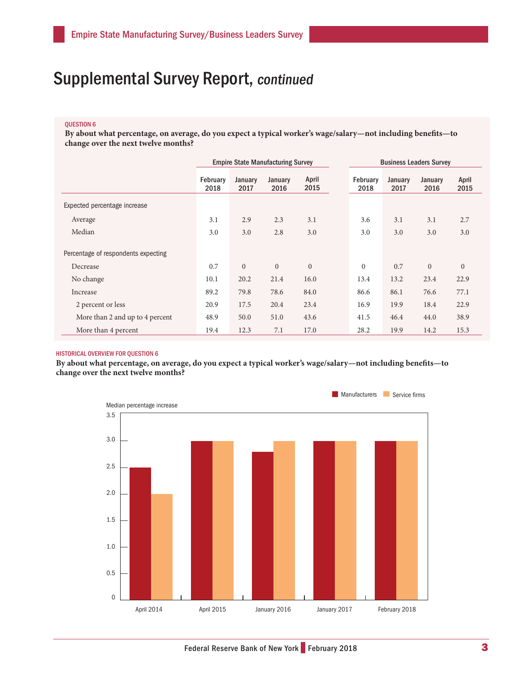### Supplemental Survey Report, continued

### QUESTION 6

**By about what percentage, on average, do you expect a typical worker's wage/salary—not including benefits—to change over the next twelve months?**

|                                                 | <b>Empire State Manufacturing Survey</b> |                  |                  |               | <b>Business Leaders Survey</b> |                 |                 |               |
|-------------------------------------------------|------------------------------------------|------------------|------------------|---------------|--------------------------------|-----------------|-----------------|---------------|
|                                                 | <b>February</b><br>2018                  | January<br>2017  | January<br>2016  | April<br>2015 | February<br>2018               | January<br>2017 | January<br>2016 | April<br>2015 |
| Expected percentage increase                    |                                          |                  |                  |               |                                |                 |                 |               |
| Average                                         | 3.1                                      | 2.9              | 2.3              | 3.1           | 3.6                            | 3.1             | 3.1             | 2.7           |
| Median                                          | 3.0                                      | 3.0              | 2.8              | 3.0           | 3.0                            | 3.0             | 3.0             | 3.0           |
| Percentage of respondents expecting<br>Decrease | 0.7                                      | $\boldsymbol{0}$ | $\boldsymbol{0}$ | $\mathbf{0}$  | $\mathbf{0}$                   | 0.7             | $\overline{0}$  | $\mathbf{0}$  |
| No change                                       | 10.1                                     | 20.2             | 21.4             | 16.0          | 13.4                           | 13.2            | 23.4            | 22.9          |
| Increase                                        | 89.2                                     | 79.8             | 78.6             | 84.0          | 86.6                           | 86.1            | 76.6            | 77.1          |
| 2 percent or less                               | 20.9                                     | 17.5             | 20.4             | 23.4          | 16.9                           | 19.9            | 18.4            | 22.9          |
| More than 2 and up to 4 percent                 | 48.9                                     | 50.0             | 51.0             | 43.6          | 41.5                           | 46.4            | 44.0            | 38.9          |
| More than 4 percent                             | 19.4                                     | 12.3             | 7.1              | 17.0          | 28.2                           | 19.9            | 14.2            | 15.3          |

#### HISTORICAL OVERVIEW FOR QUESTION 6

**By about what percentage, on average, do you expect a typical worker's wage/salary—not including benefits—to change over the next twelve months?**